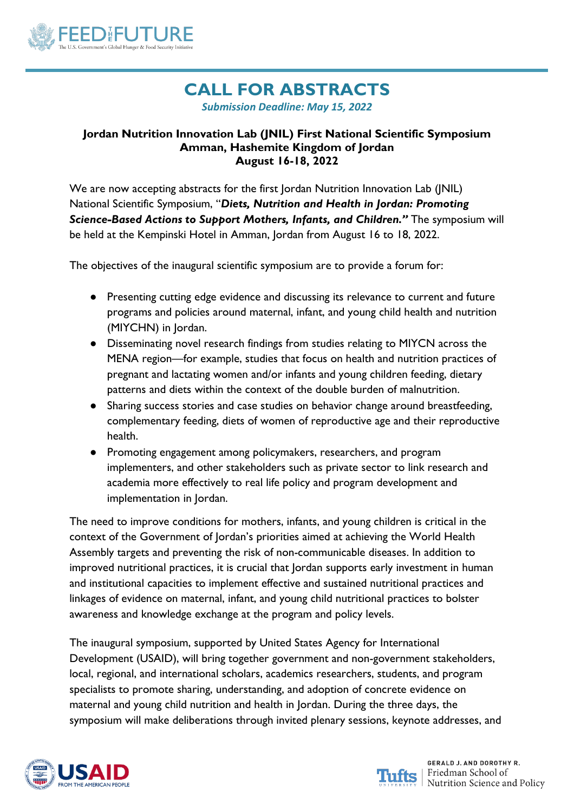

# **CALL FOR ABSTRACTS** *Submission Deadline: May 15, 2022*

#### **Jordan Nutrition Innovation Lab (JNIL) First National Scientific Symposium Amman, Hashemite Kingdom of Jordan August 16-18, 2022**

We are now accepting abstracts for the first Jordan Nutrition Innovation Lab (JNIL) National Scientific Symposium, "*Diets, Nutrition and Health in Jordan: Promoting Science-Based Actions to Support Mothers, Infants, and Children."* The symposium will be held at the Kempinski Hotel in Amman, Jordan from August 16 to 18, 2022.

The objectives of the inaugural scientific symposium are to provide a forum for:

- Presenting cutting edge evidence and discussing its relevance to current and future programs and policies around maternal, infant, and young child health and nutrition (MIYCHN) in Jordan.
- Disseminating novel research findings from studies relating to MIYCN across the MENA region—for example, studies that focus on health and nutrition practices of pregnant and lactating women and/or infants and young children feeding, dietary patterns and diets within the context of the double burden of malnutrition.
- Sharing success stories and case studies on behavior change around breastfeeding, complementary feeding, diets of women of reproductive age and their reproductive health.
- Promoting engagement among policymakers, researchers, and program implementers, and other stakeholders such as private sector to link research and academia more effectively to real life policy and program development and implementation in Jordan.

The need to improve conditions for mothers, infants, and young children is critical in the context of the Government of Jordan's priorities aimed at achieving the World Health Assembly targets and preventing the risk of non-communicable diseases. In addition to improved nutritional practices, it is crucial that Jordan supports early investment in human and institutional capacities to implement effective and sustained nutritional practices and linkages of evidence on maternal, infant, and young child nutritional practices to bolster awareness and knowledge exchange at the program and policy levels.

The inaugural symposium, supported by United States Agency for International Development (USAID), will bring together government and non-government stakeholders, local, regional, and international scholars, academics researchers, students, and program specialists to promote sharing, understanding, and adoption of concrete evidence on maternal and young child nutrition and health in Jordan. During the three days, the symposium will make deliberations through invited plenary sessions, keynote addresses, and



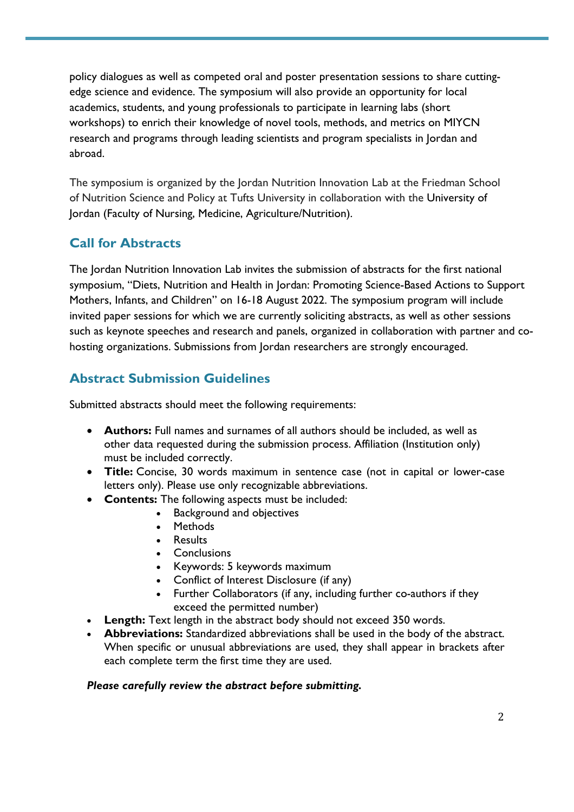policy dialogues as well as competed oral and poster presentation sessions to share cuttingedge science and evidence. The symposium will also provide an opportunity for local academics, students, and young professionals to participate in learning labs (short workshops) to enrich their knowledge of novel tools, methods, and metrics on MIYCN research and programs through leading scientists and program specialists in Jordan and abroad.

The symposium is organized by the Jordan Nutrition Innovation Lab at the Friedman School of Nutrition Science and Policy at Tufts University in collaboration with the University of Jordan (Faculty of Nursing, Medicine, Agriculture/Nutrition).

## **Call for Abstracts**

The Jordan Nutrition Innovation Lab invites the submission of abstracts for the first national symposium, "Diets, Nutrition and Health in Jordan: Promoting Science-Based Actions to Support Mothers, Infants, and Children" on 16-18 August 2022. The symposium program will include invited paper sessions for which we are currently soliciting abstracts, as well as other sessions such as keynote speeches and research and panels, organized in collaboration with partner and cohosting organizations. Submissions from Jordan researchers are strongly encouraged.

### **Abstract Submission Guidelines**

Submitted abstracts should meet the following requirements:

- **Authors:** Full names and surnames of all authors should be included, as well as other data requested during the submission process. Affiliation (Institution only) must be included correctly.
- **Title:** Concise, 30 words maximum in sentence case (not in capital or lower-case letters only). Please use only recognizable abbreviations.
- **Contents:** The following aspects must be included:
	- Background and objectives
	- Methods
	- Results
	- Conclusions
	- Keywords: 5 keywords maximum
	- Conflict of Interest Disclosure (if any)
	- Further Collaborators (if any, including further co-authors if they exceed the permitted number)
- **Length:** Text length in the abstract body should not exceed 350 words.
- **Abbreviations:** Standardized abbreviations shall be used in the body of the abstract. When specific or unusual abbreviations are used, they shall appear in brackets after each complete term the first time they are used.

#### *Please carefully review the abstract before submitting.*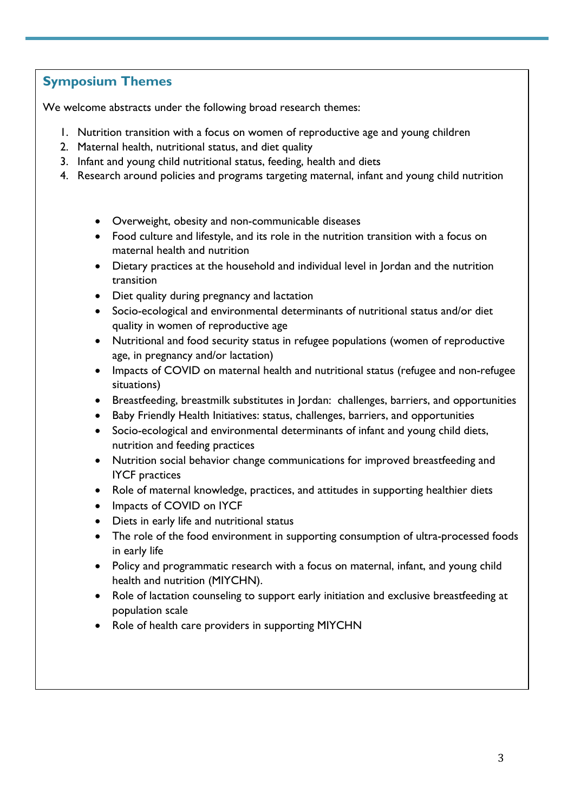### **Symposium Themes**

We welcome abstracts under the following broad research themes:

- 1. Nutrition transition with a focus on women of reproductive age and young children
- 2. Maternal health, nutritional status, and diet quality
- 3. Infant and young child nutritional status, feeding, health and diets
- 4. Research around policies and programs targeting maternal, infant and young child nutrition
	- Overweight, obesity and non-communicable diseases
	- Food culture and lifestyle, and its role in the nutrition transition with a focus on maternal health and nutrition
	- Dietary practices at the household and individual level in Jordan and the nutrition transition
	- Diet quality during pregnancy and lactation
	- Socio-ecological and environmental determinants of nutritional status and/or diet quality in women of reproductive age
	- Nutritional and food security status in refugee populations (women of reproductive age, in pregnancy and/or lactation)
	- Impacts of COVID on maternal health and nutritional status (refugee and non-refugee situations)
	- Breastfeeding, breastmilk substitutes in Jordan: challenges, barriers, and opportunities
	- Baby Friendly Health Initiatives: status, challenges, barriers, and opportunities
	- Socio-ecological and environmental determinants of infant and young child diets, nutrition and feeding practices
	- Nutrition social behavior change communications for improved breastfeeding and IYCF practices
	- Role of maternal knowledge, practices, and attitudes in supporting healthier diets
	- Impacts of COVID on IYCF
	- Diets in early life and nutritional status
	- The role of the food environment in supporting consumption of ultra-processed foods in early life
	- Policy and programmatic research with a focus on maternal, infant, and young child health and nutrition (MIYCHN).
	- Role of lactation counseling to support early initiation and exclusive breastfeeding at population scale
	- Role of health care providers in supporting MIYCHN